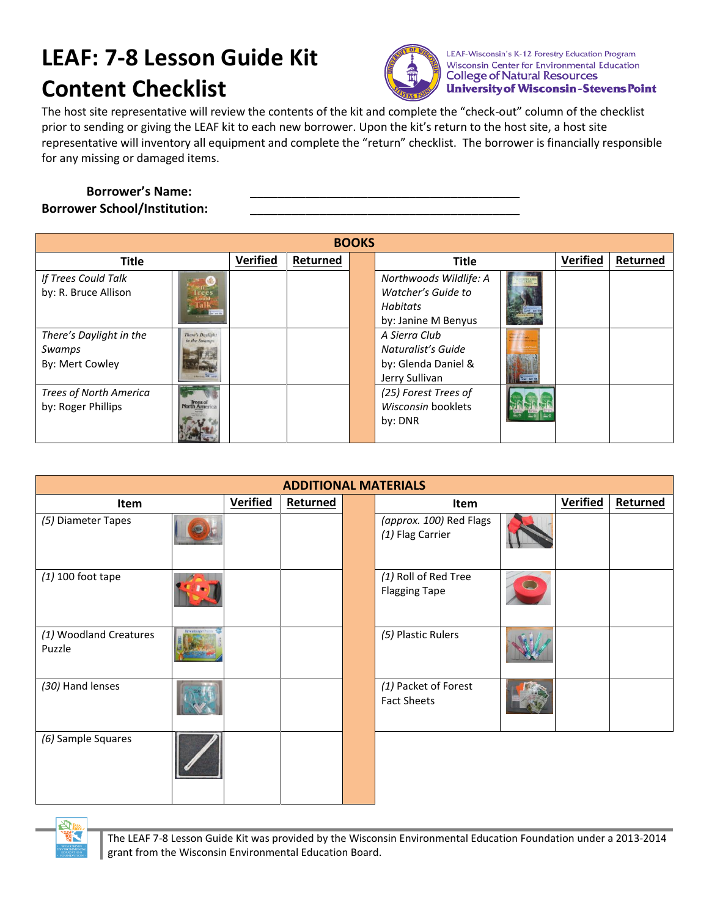## **LEAF: 7-8 Lesson Guide Kit Content Checklist**



LEAF-Wisconsin's K-12 Forestry Education Program Wisconsin Center for Environmental Education **College of Natural Resources University of Wisconsin-Stevens Point** 

The host site representative will review the contents of the kit and complete the "check-out" column of the checklist prior to sending or giving the LEAF kit to each new borrower. Upon the kit's return to the host site, a host site representative will inventory all equipment and complete the "return" checklist. The borrower is financially responsible for any missing or damaged items.

## **Borrower's Name: \_\_\_\_\_\_\_\_\_\_\_\_\_\_\_\_\_\_\_\_\_\_\_\_\_\_\_\_\_\_\_\_\_\_\_\_\_\_\_ Borrower School/Institution:**

| <b>BOOKS</b>                                         |                                          |                 |          |  |                                                                         |  |                 |          |
|------------------------------------------------------|------------------------------------------|-----------------|----------|--|-------------------------------------------------------------------------|--|-----------------|----------|
| <b>Title</b>                                         |                                          | <b>Verified</b> | Returned |  | <b>Title</b>                                                            |  | <b>Verified</b> | Returned |
| If Trees Could Talk<br>by: R. Bruce Allison          |                                          |                 |          |  | Northwoods Wildlife: A<br>Watcher's Guide to                            |  |                 |          |
|                                                      |                                          |                 |          |  | Habitats<br>by: Janine M Benyus                                         |  |                 |          |
| There's Daylight in the<br>Swamps<br>By: Mert Cowley | <b>There's Daylight</b><br>in the Swamps |                 |          |  | A Sierra Club<br>Naturalist's Guide<br>by: Glenda Daniel &              |  |                 |          |
| <b>Trees of North America</b><br>by: Roger Phillips  | <b>North America</b>                     |                 |          |  | Jerry Sullivan<br>(25) Forest Trees of<br>Wisconsin booklets<br>by: DNR |  |                 |          |

| <b>ADDITIONAL MATERIALS</b>      |  |                 |          |  |                                              |  |                 |          |
|----------------------------------|--|-----------------|----------|--|----------------------------------------------|--|-----------------|----------|
| Item                             |  | <b>Verified</b> | Returned |  | Item                                         |  | <b>Verified</b> | Returned |
| (5) Diameter Tapes               |  |                 |          |  | (approx. 100) Red Flags<br>(1) Flag Carrier  |  |                 |          |
| $(1)$ 100 foot tape              |  |                 |          |  | (1) Roll of Red Tree<br><b>Flagging Tape</b> |  |                 |          |
| (1) Woodland Creatures<br>Puzzle |  |                 |          |  | (5) Plastic Rulers                           |  |                 |          |
| (30) Hand lenses                 |  |                 |          |  | (1) Packet of Forest<br><b>Fact Sheets</b>   |  |                 |          |
| (6) Sample Squares               |  |                 |          |  |                                              |  |                 |          |



The LEAF 7-8 Lesson Guide Kit was provided by the Wisconsin Environmental Education Foundation under a 2013-2014 grant from the Wisconsin Environmental Education Board.